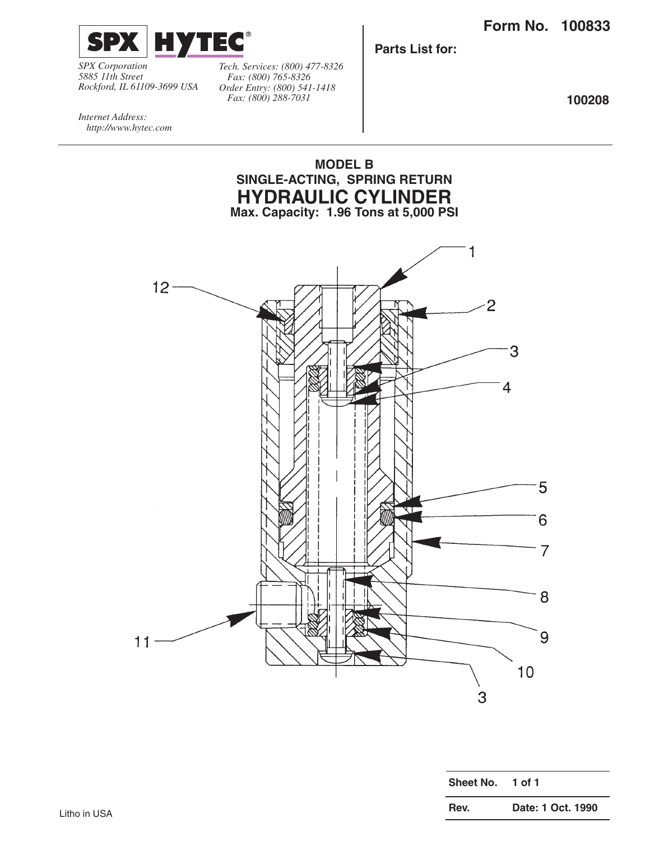

*SPX Corporation 5885 11th Street Rockford, IL 61109-3699 USA*

*Tech. Services: (800) 477-8326 Fax: (800) 765-8326 Order Entry: (800) 541-1418 Fax: (800) 288-7031*

**Parts List for:**

**100208**

*Internet Address: http://www.hytec.com*



| Sheet No. | 1 of 1            |
|-----------|-------------------|
| Rev.      | Date: 1 Oct. 1990 |
|           |                   |